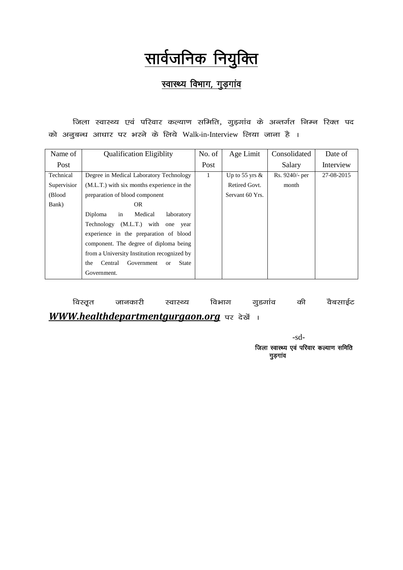# <u>सार्वजनिक नियुक्ति</u>

## <u>स्वास्थ्य विभाग, गुड़गांव</u>

<u>जिला स्वास्थ्य एवं परिवार कल्याण समिति, गुड़गांव के अन्तर्गत निम्न रिक्त पद</u> को अनुबन्ध आधार पर भरने के लिये Walk-in-Interview लिया जाना है ।

| Name of     | <b>Qualification Eligiblity</b>                          | No. of | Age Limit         | Consolidated   | Date of    |
|-------------|----------------------------------------------------------|--------|-------------------|----------------|------------|
| Post        |                                                          | Post   |                   | Salary         | Interview  |
| Technical   | Degree in Medical Laboratory Technology                  | 1      | Up to 55 yrs $\&$ | Rs. 9240/- per | 27-08-2015 |
| Supervision | (M.L.T.) with six months experience in the               |        | Retired Govt.     | month          |            |
| (Blood      | preparation of blood component                           |        | Servant 60 Yrs.   |                |            |
| Bank)       | OR.                                                      |        |                   |                |            |
|             | Diploma<br>Medical<br>laboratory<br>in                   |        |                   |                |            |
|             | Technology (M.L.T.) with one year                        |        |                   |                |            |
|             | experience in the preparation of blood                   |        |                   |                |            |
|             | component. The degree of diploma being                   |        |                   |                |            |
|             | from a University Institution recognized by              |        |                   |                |            |
|             | <b>State</b><br>the<br>Central<br>Government<br>$\alpha$ |        |                   |                |            |
|             | Government.                                              |        |                   |                |            |

.<br>विस्तृत जानकारी स्वास्थ्य विभाग गुडगांव की वैबसाईट *WWW.healthdepartmentgurgaon.org* पर देखें ।

> -sd- जिला स्वास्थ्य एवं परिवार कल्याण समिति गुड़गांव